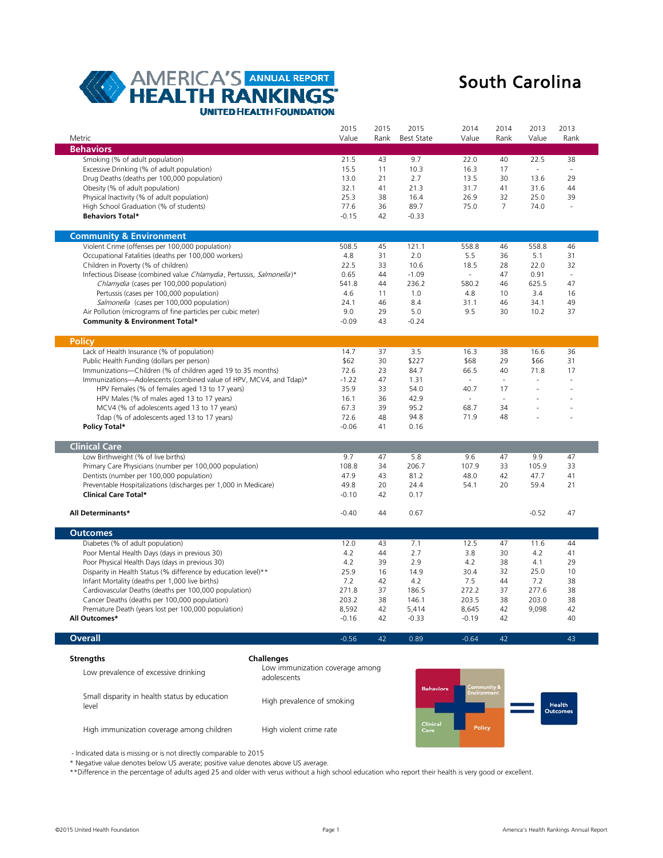

# South Carolina

| Metric                                                                | 2015<br>Value   | 2015<br>Rank | 2015<br><b>Best State</b> | 2014<br>Value            | 2014<br>Rank             | 2013<br>Value  | 2013<br>Rank   |
|-----------------------------------------------------------------------|-----------------|--------------|---------------------------|--------------------------|--------------------------|----------------|----------------|
| <b>Behaviors</b>                                                      |                 |              |                           |                          |                          |                |                |
| Smoking (% of adult population)                                       | 21.5            | 43           | 9.7                       | 22.0                     | 40                       | 22.5           | 38             |
| Excessive Drinking (% of adult population)                            | 15.5            | 11           | 10.3                      | 16.3                     | 17                       | $\overline{a}$ | $\overline{a}$ |
| Drug Deaths (deaths per 100,000 population)                           | 13.0            | 21           | 2.7                       | 13.5                     | 30                       | 13.6           | 29             |
| Obesity (% of adult population)                                       | 32.1            | 41           | 21.3                      | 31.7                     | 41                       | 31.6           | 44             |
| Physical Inactivity (% of adult population)                           | 25.3            | 38           | 16.4                      | 26.9                     | 32                       | 25.0           | 39             |
| High School Graduation (% of students)                                | 77.6            | 36           | 89.7                      | 75.0                     | $\overline{7}$           | 74.0           |                |
| <b>Behaviors Total*</b>                                               | $-0.15$         | 42           | $-0.33$                   |                          |                          |                |                |
| <b>Community &amp; Environment</b>                                    |                 |              |                           |                          |                          |                |                |
| Violent Crime (offenses per 100,000 population)                       | 508.5           | 45           | 121.1                     | 558.8                    | 46                       | 558.8          | 46             |
| Occupational Fatalities (deaths per 100,000 workers)                  | 4.8             | 31           | 2.0                       | 5.5                      | 36                       | 5.1            | 31             |
| Children in Poverty (% of children)                                   | 22.5            | 33           | 10.6                      | 18.5                     | 28                       | 22.0           | 32             |
| Infectious Disease (combined value Chlamydia, Pertussis, Salmonella)* | 0.65            | 44           | $-1.09$                   | $\sim$                   | 47                       | 0.91           | $\overline{a}$ |
| Chlamydia (cases per 100,000 population)                              | 541.8           | 44           | 236.2                     | 580.2                    | 46                       | 625.5          | 47             |
| Pertussis (cases per 100,000 population)                              | 4.6             | 11           | 1.0                       | 4.8                      | 10                       | 3.4            | 16             |
| Salmonella (cases per 100,000 population)                             | 24.1            | 46           | 8.4                       | 31.1                     | 46                       | 34.1           | 49             |
| Air Pollution (micrograms of fine particles per cubic meter)          | 9.0             | 29           | 5.0                       | 9.5                      | 30                       | 10.2           | 37             |
| Community & Environment Total*                                        | $-0.09$         | 43           | $-0.24$                   |                          |                          |                |                |
| <b>Policy</b>                                                         |                 |              |                           |                          |                          |                |                |
| Lack of Health Insurance (% of population)                            | 14.7            | 37           | 3.5                       | 16.3                     | 38                       | 16.6           | 36             |
| Public Health Funding (dollars per person)                            | \$62            | 30           | \$227                     | \$68                     | 29                       | \$66           | 31             |
| Immunizations-Children (% of children aged 19 to 35 months)           | 72.6            | 23           | 84.7                      | 66.5                     | 40                       | 71.8           | 17             |
| Immunizations-Adolescents (combined value of HPV, MCV4, and Tdap)*    | $-1.22$         | 47           | 1.31                      | $\overline{\phantom{a}}$ | J.                       | $\overline{a}$ |                |
| HPV Females (% of females aged 13 to 17 years)                        | 35.9            | 33           | 54.0                      | 40.7                     | 17                       |                |                |
| HPV Males (% of males aged 13 to 17 years)                            | 16.1            | 36           | 42.9                      | $\sim$                   | $\overline{\phantom{a}}$ |                |                |
| MCV4 (% of adolescents aged 13 to 17 years)                           | 67.3            | 39           | 95.2                      | 68.7                     | 34                       |                |                |
| Tdap (% of adolescents aged 13 to 17 years)<br>Policy Total*          | 72.6<br>$-0.06$ | 48<br>41     | 94.8<br>0.16              | 71.9                     | 48                       |                |                |
| <b>Clinical Care</b>                                                  |                 |              |                           |                          |                          |                |                |
| Low Birthweight (% of live births)                                    | 9.7             | 47           | 5.8                       | 9.6                      | 47                       | 9.9            | 47             |
| Primary Care Physicians (number per 100,000 population)               | 108.8           | 34           | 206.7                     | 107.9                    | 33                       | 105.9          | 33             |
| Dentists (number per 100,000 population)                              | 47.9            | 43           | 81.2                      | 48.0                     | 42                       | 47.7           | 41             |
| Preventable Hospitalizations (discharges per 1,000 in Medicare)       | 49.8            | 20           | 24.4                      | 54.1                     | 20                       | 59.4           | 21             |
| Clinical Care Total*                                                  | $-0.10$         | 42           | 0.17                      |                          |                          |                |                |
| All Determinants*                                                     | $-0.40$         | 44           | 0.67                      |                          |                          | $-0.52$        | 47             |
| <b>Outcomes</b>                                                       |                 |              |                           |                          |                          |                |                |
| Diabetes (% of adult population)                                      | 12.0            | 43           | 7.1                       | 12.5                     | 47                       | 11.6           | 44             |
| Poor Mental Health Days (days in previous 30)                         | 4.2             | 44           | 2.7                       | 3.8                      | 30                       | 4.2            | 41             |
| Poor Physical Health Days (days in previous 30)                       | 4.2             | 39           | 2.9                       | 4.2                      | 38                       | 4.1            | 29             |
| Disparity in Health Status (% difference by education level)**        | 25.9            | 16           | 14.9                      | 30.4                     | 32                       | 25.0           | 10             |
| Infant Mortality (deaths per 1,000 live births)                       | 7.2             | 42           | 4.2                       | 7.5                      | 44                       | 7.2            | 38             |
| Cardiovascular Deaths (deaths per 100,000 population)                 | 271.8           | 37           | 186.5                     | 272.2                    | 37                       | 277.6          | 38             |
| Cancer Deaths (deaths per 100,000 population)                         | 203.2           | 38           | 146.1                     | 203.5                    | 38                       | 203.0          | 38             |
| Premature Death (years lost per 100,000 population)                   | 8,592           | 42           | 5,414                     | 8,645                    | 42                       | 9,098          | 42             |
| All Outcomes*                                                         | $-0.16$         | 42           | $-0.33$                   | $-0.19$                  | 42                       |                | 40             |
| <b>Overall</b>                                                        | $-0.56$         | 42           | 0.89                      | $-0.64$                  | 42                       |                | 43             |
| <b>Strengths</b><br>Challenges                                        |                 |              |                           |                          |                          |                |                |
|                                                                       |                 |              |                           |                          |                          |                |                |

Low prevalence of excessive drinking Small disparity in health status by education level High immunization coverage among children Low immunization coverage among adolescents High prevalence of smoking High violent crime rate



- Indicated data is missing or is not directly comparable to 2015

\* Negative value denotes below US averate; positive value denotes above US average.

\*\*Difference in the percentage of adults aged 25 and older with verus without a high school education who report their health is very good or excellent.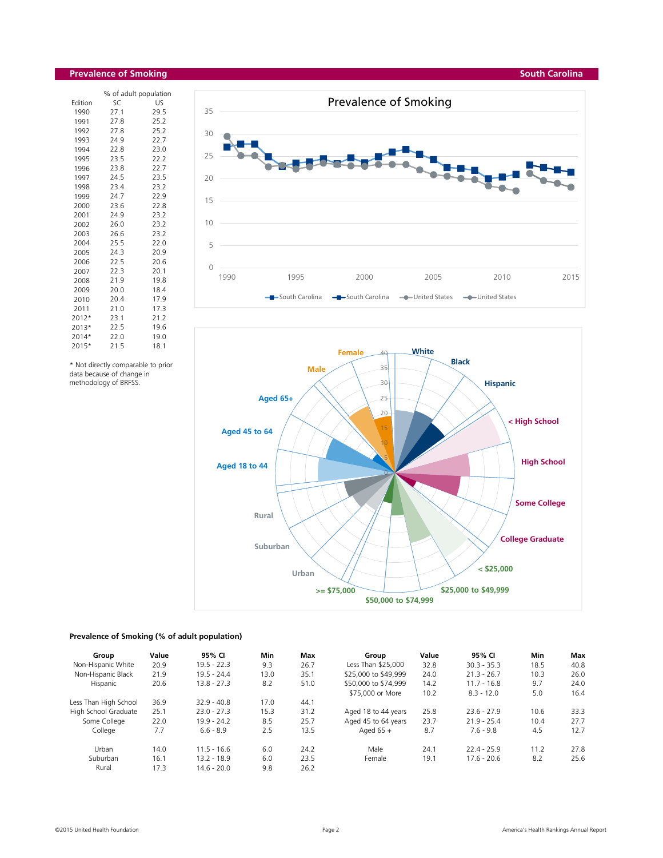# **Prevalence of Smoking**

|         |      | % of adult population |
|---------|------|-----------------------|
| Edition | SC   | US                    |
| 1990    | 27.1 | 29.5                  |
| 1991    | 27.8 | 25.2                  |
| 1992    | 27.8 | 25.2                  |
| 1993    | 24.9 | 22.7                  |
| 1994    | 22.8 | 23.0                  |
| 1995    | 23.5 | 22.2                  |
| 1996    | 23.8 | 22.7                  |
| 1997    | 24.5 | 23.5                  |
| 1998    | 23.4 | 23.2                  |
| 1999    | 24.7 | 22.9                  |
| 2000    | 23.6 | 22.8                  |
| 2001    | 24.9 | 23.2                  |
| 2002    | 26.0 | 23.2                  |
| 2003    | 26.6 | 23.2                  |
| 2004    | 25.5 | 22.0                  |
| 2005    | 24.3 | 20.9                  |
| 2006    | 22.5 | 20.6                  |
| 2007    | 22.3 | 20.1                  |
| 2008    | 21.9 | 19.8                  |
| 2009    | 20.0 | 18.4                  |
| 2010    | 20.4 | 17.9                  |
| 2011    | 21.0 | 17.3                  |
| 2012*   | 23.1 | 21.2                  |
| 2013*   | 22.5 | 19.6                  |
| 2014*   | 22.0 | 19.0                  |
| 2015*   | 21.5 | 18.1                  |

\* Not directly comparable to prior data because of change in methodology of BRFSS.





#### **Prevalence of Smoking (% of adult population)**

| Group                 | Value | 95% CI        | <b>Min</b> | Max  | Group                | Value | 95% CI        | <b>Min</b> | Max  |
|-----------------------|-------|---------------|------------|------|----------------------|-------|---------------|------------|------|
| Non-Hispanic White    | 20.9  | $19.5 - 22.3$ | 9.3        | 26.7 | Less Than \$25,000   | 32.8  | $30.3 - 35.3$ | 18.5       | 40.8 |
| Non-Hispanic Black    | 21.9  | $19.5 - 24.4$ | 13.0       | 35.1 | \$25,000 to \$49,999 | 24.0  | $21.3 - 26.7$ | 10.3       | 26.0 |
| Hispanic              | 20.6  | $13.8 - 27.3$ | 8.2        | 51.0 | \$50,000 to \$74,999 | 14.2  | $11.7 - 16.8$ | 9.7        | 24.0 |
|                       |       |               |            |      | \$75,000 or More     | 10.2  | $8.3 - 12.0$  | 5.0        | 16.4 |
| Less Than High School | 36.9  | $32.9 - 40.8$ | 17.0       | 44.1 |                      |       |               |            |      |
| High School Graduate  | 25.1  | $23.0 - 27.3$ | 15.3       | 31.2 | Aged 18 to 44 years  | 25.8  | $23.6 - 27.9$ | 10.6       | 33.3 |
| Some College          | 22.0  | $19.9 - 24.2$ | 8.5        | 25.7 | Aged 45 to 64 years  | 23.7  | $21.9 - 25.4$ | 10.4       | 27.7 |
| College               | 7.7   | $6.6 - 8.9$   | 2.5        | 13.5 | Aged $65 +$          | 8.7   | $7.6 - 9.8$   | 4.5        | 12.7 |
| Urban                 | 14.0  | $11.5 - 16.6$ | 6.0        | 24.2 | Male                 | 24.1  | $22.4 - 25.9$ | 11.2       | 27.8 |
| Suburban              | 16.1  | $13.2 - 18.9$ | 6.0        | 23.5 | Female               | 19.1  | $17.6 - 20.6$ | 8.2        | 25.6 |
| Rural                 | 17.3  | $14.6 - 20.0$ | 9.8        | 26.2 |                      |       |               |            |      |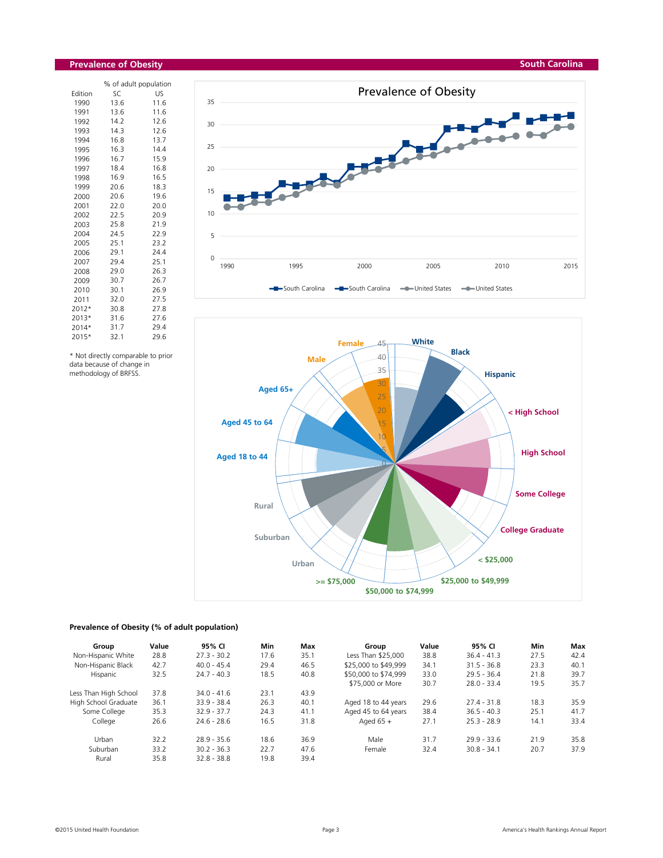#### **Prevalence of Obesity**

|         | % of adult population |      |
|---------|-----------------------|------|
| Edition | SC                    | US   |
| 1990    | 13.6                  | 11.6 |
| 1991    | 13.6                  | 11.6 |
| 1992    | 14.2                  | 12.6 |
| 1993    | 14.3                  | 12.6 |
| 1994    | 16.8                  | 13.7 |
| 1995    | 16.3                  | 14.4 |
| 1996    | 16.7                  | 15.9 |
| 1997    | 18.4                  | 16.8 |
| 1998    | 16.9                  | 16.5 |
| 1999    | 20.6                  | 18.3 |
| 2000    | 20.6                  | 19.6 |
| 2001    | 22.0                  | 20.0 |
| 2002    | 22.5                  | 20.9 |
| 2003    | 25.8                  | 21.9 |
| 2004    | 24.5                  | 22.9 |
| 2005    | 25.1                  | 23.2 |
| 2006    | 29.1                  | 24.4 |
| 2007    | 29.4                  | 25.1 |
| 2008    | 29.0                  | 26.3 |
| 2009    | 30.7                  | 26.7 |
| 2010    | 30.1                  | 26.9 |
| 2011    | 32.0                  | 27.5 |
| 2012*   | 30.8                  | 27.8 |
| 2013*   | 31.6                  | 27.6 |
| 2014*   | 31.7                  | 29.4 |
| 2015*   | 32.1                  | 29.6 |

\* Not directly comparable to prior data because of change in methodology of BRFSS.





# **Prevalence of Obesity (% of adult population)**

| Group                 | Value | 95% CI        | Min  | Max  | Group                | Value | 95% CI        | Min  | Max  |
|-----------------------|-------|---------------|------|------|----------------------|-------|---------------|------|------|
| Non-Hispanic White    | 28.8  | $27.3 - 30.2$ | 17.6 | 35.1 | Less Than \$25,000   | 38.8  | $36.4 - 41.3$ | 27.5 | 42.4 |
| Non-Hispanic Black    | 42.7  | $40.0 - 45.4$ | 29.4 | 46.5 | \$25,000 to \$49,999 | 34.1  | $31.5 - 36.8$ | 23.3 | 40.1 |
| Hispanic              | 32.5  | $24.7 - 40.3$ | 18.5 | 40.8 | \$50,000 to \$74,999 | 33.0  | $29.5 - 36.4$ | 21.8 | 39.7 |
|                       |       |               |      |      | \$75,000 or More     | 30.7  | $28.0 - 33.4$ | 19.5 | 35.7 |
| Less Than High School | 37.8  | $34.0 - 41.6$ | 23.1 | 43.9 |                      |       |               |      |      |
| High School Graduate  | 36.1  | $33.9 - 38.4$ | 26.3 | 40.1 | Aged 18 to 44 years  | 29.6  | $27.4 - 31.8$ | 18.3 | 35.9 |
| Some College          | 35.3  | $32.9 - 37.7$ | 24.3 | 41.1 | Aged 45 to 64 years  | 38.4  | $36.5 - 40.3$ | 25.1 | 41.7 |
| College               | 26.6  | $24.6 - 28.6$ | 16.5 | 31.8 | Aged $65 +$          | 27.1  | $25.3 - 28.9$ | 14.1 | 33.4 |
| Urban                 | 32.2  | $28.9 - 35.6$ | 18.6 | 36.9 | Male                 | 31.7  | $29.9 - 33.6$ | 21.9 | 35.8 |
| Suburban              | 33.2  | $30.2 - 36.3$ | 22.7 | 47.6 | Female               | 32.4  | $30.8 - 34.1$ | 20.7 | 37.9 |
| Rural                 | 35.8  | $32.8 - 38.8$ | 19.8 | 39.4 |                      |       |               |      |      |

#### **South Carolina**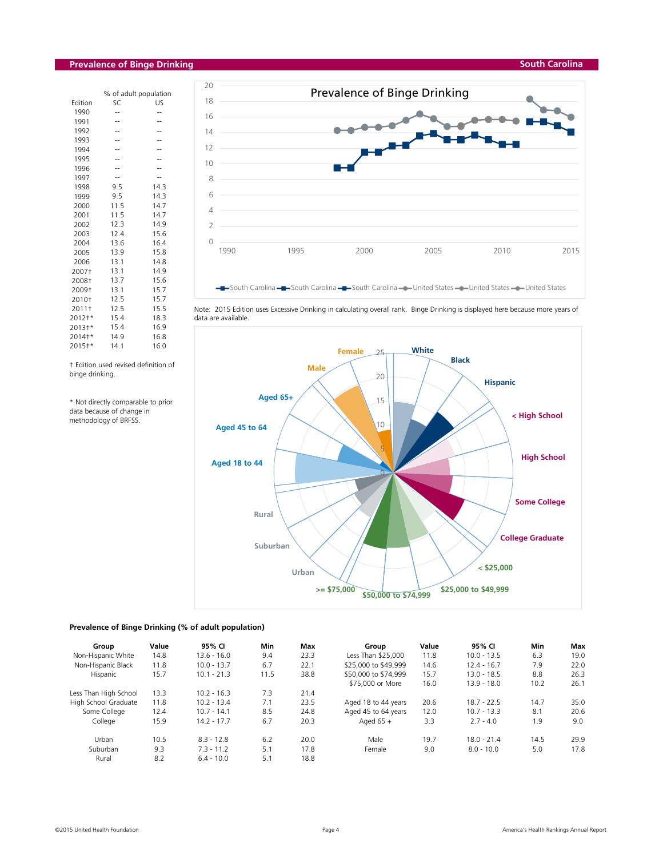# **Prevalence of Binge Drinking**

| % of adult population |      |
|-----------------------|------|
| SC                    | US   |
| --                    |      |
| --                    |      |
| --                    |      |
|                       |      |
| --                    |      |
|                       |      |
|                       |      |
|                       |      |
| 9.5                   | 14.3 |
| 9.5                   | 14.3 |
| 11.5                  | 14.7 |
| 11.5                  | 14.7 |
| 12.3                  | 14.9 |
| 12.4                  | 15.6 |
| 13.6                  | 16.4 |
| 13.9                  | 15.8 |
| 13.1                  | 14.8 |
| 13.1                  | 14.9 |
| 13.7                  | 15.6 |
| 13.1                  | 15.7 |
| 12.5                  | 15.7 |
| 12.5                  | 15.5 |
| 15.4                  | 18.3 |
| 15.4                  | 16.9 |
| 14.9                  | 16.8 |
| 14.1                  | 16.0 |
|                       |      |

† Edition used revised definition of binge drinking.

\* Not directly comparable to prior data because of change in methodology of BRFSS.





Note: 2015 Edition uses Excessive Drinking in calculating overall rank. Binge Drinking is displayed here because more years of data are available.



#### **Prevalence of Binge Drinking (% of adult population)**

| Group                 | Value | 95% CI        | Min  | Max  | Group                | Value | 95% CI        | Min  | Max  |
|-----------------------|-------|---------------|------|------|----------------------|-------|---------------|------|------|
| Non-Hispanic White    | 14.8  | $13.6 - 16.0$ | 9.4  | 23.3 | Less Than \$25,000   | 11.8  | $10.0 - 13.5$ | 6.3  | 19.0 |
| Non-Hispanic Black    | 11.8  | $10.0 - 13.7$ | 6.7  | 22.1 | \$25,000 to \$49,999 | 14.6  | $12.4 - 16.7$ | 7.9  | 22.0 |
| Hispanic              | 15.7  | $10.1 - 21.3$ | 11.5 | 38.8 | \$50,000 to \$74,999 | 15.7  | $13.0 - 18.5$ | 8.8  | 26.3 |
|                       |       |               |      |      | \$75,000 or More     | 16.0  | $13.9 - 18.0$ | 10.2 | 26.1 |
| Less Than High School | 13.3  | $10.2 - 16.3$ | 7.3  | 21.4 |                      |       |               |      |      |
| High School Graduate  | 11.8  | $10.2 - 13.4$ | 7.1  | 23.5 | Aged 18 to 44 years  | 20.6  | $18.7 - 22.5$ | 14.7 | 35.0 |
| Some College          | 12.4  | $10.7 - 14.1$ | 8.5  | 24.8 | Aged 45 to 64 years  | 12.0  | $10.7 - 13.3$ | 8.1  | 20.6 |
| College               | 15.9  | $14.2 - 17.7$ | 6.7  | 20.3 | Aged $65 +$          | 3.3   | $2.7 - 4.0$   | 1.9  | 9.0  |
| Urban                 | 10.5  | $8.3 - 12.8$  | 6.2  | 20.0 | Male                 | 19.7  | $18.0 - 21.4$ | 14.5 | 29.9 |
| Suburban              | 9.3   | $7.3 - 11.2$  | 5.1  | 17.8 | Female               | 9.0   | $8.0 - 10.0$  | 5.0  | 17.8 |
| Rural                 | 8.2   | $6.4 - 10.0$  | 5.1  | 18.8 |                      |       |               |      |      |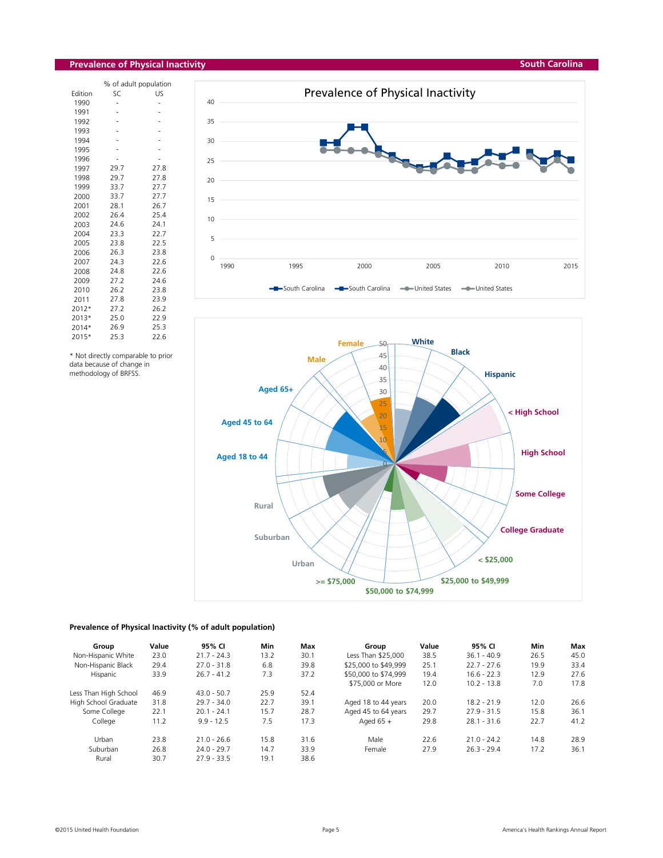# **Prevalence of Physical Inactivity**

|         |      | % of adult population |
|---------|------|-----------------------|
| Edition | SC   | US                    |
| 1990    |      |                       |
| 1991    |      |                       |
| 1992    |      |                       |
| 1993    |      |                       |
| 1994    |      |                       |
| 1995    |      |                       |
| 1996    |      |                       |
| 1997    | 29.7 | 27.8                  |
| 1998    | 29.7 | 27.8                  |
| 1999    | 33.7 | 27.7                  |
| 2000    | 33.7 | 27.7                  |
| 2001    | 28.1 | 26.7                  |
| 2002    | 26.4 | 25.4                  |
| 2003    | 24.6 | 24.1                  |
| 2004    | 23.3 | 22.7                  |
| 2005    | 23.8 | 22.5                  |
| 2006    | 26.3 | 23.8                  |
| 2007    | 24.3 | 22.6                  |
| 2008    | 24.8 | 22.6                  |
| 2009    | 27.2 | 24.6                  |
| 2010    | 26.2 | 23.8                  |
| 2011    | 27.8 | 23.9                  |
| 2012*   | 27.2 | 26.2                  |
| 2013*   | 25.0 | 22.9                  |
| 2014*   | 26.9 | 25.3                  |
| 2015*   | 25.3 | 22.6                  |

\* Not directly comparable to prior data because of change in methodology of BRFSS.

![](_page_4_Figure_3.jpeg)

![](_page_4_Figure_4.jpeg)

# **Prevalence of Physical Inactivity (% of adult population)**

| Group                 | Value | 95% CI        | Min  | Max  | Group                | Value | 95% CI        | Min  | Max  |
|-----------------------|-------|---------------|------|------|----------------------|-------|---------------|------|------|
| Non-Hispanic White    | 23.0  | $21.7 - 24.3$ | 13.2 | 30.1 | Less Than \$25,000   | 38.5  | $36.1 - 40.9$ | 26.5 | 45.0 |
| Non-Hispanic Black    | 29.4  | $27.0 - 31.8$ | 6.8  | 39.8 | \$25,000 to \$49,999 | 25.1  | $22.7 - 27.6$ | 19.9 | 33.4 |
| Hispanic              | 33.9  | $26.7 - 41.2$ | 7.3  | 37.2 | \$50,000 to \$74,999 | 19.4  | $16.6 - 22.3$ | 12.9 | 27.6 |
|                       |       |               |      |      | \$75,000 or More     | 12.0  | $10.2 - 13.8$ | 7.0  | 17.8 |
| Less Than High School | 46.9  | $43.0 - 50.7$ | 25.9 | 52.4 |                      |       |               |      |      |
| High School Graduate  | 31.8  | $29.7 - 34.0$ | 22.7 | 39.1 | Aged 18 to 44 years  | 20.0  | $18.2 - 21.9$ | 12.0 | 26.6 |
| Some College          | 22.1  | $20.1 - 24.1$ | 15.7 | 28.7 | Aged 45 to 64 years  | 29.7  | $27.9 - 31.5$ | 15.8 | 36.1 |
| College               | 11.2  | $9.9 - 12.5$  | 7.5  | 17.3 | Aged $65 +$          | 29.8  | $28.1 - 31.6$ | 22.7 | 41.2 |
| Urban                 | 23.8  | $21.0 - 26.6$ | 15.8 | 31.6 | Male                 | 22.6  | $21.0 - 24.2$ | 14.8 | 28.9 |
| Suburban              | 26.8  | $24.0 - 29.7$ | 14.7 | 33.9 | Female               | 27.9  | $26.3 - 29.4$ | 17.2 | 36.1 |
| Rural                 | 30.7  | $27.9 - 33.5$ | 19.1 | 38.6 |                      |       |               |      |      |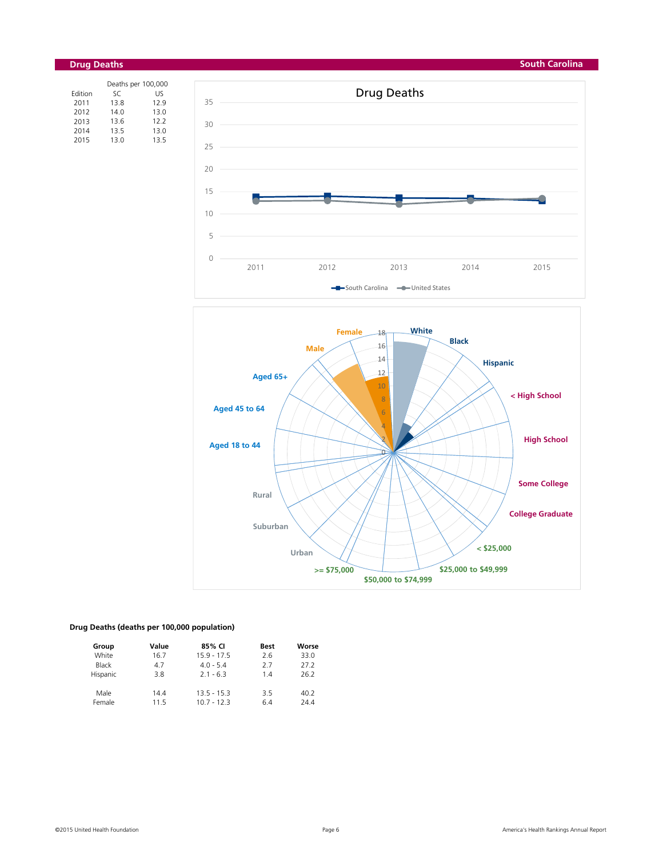#### **South Carolina**

![](_page_5_Figure_1.jpeg)

|         | Deaths per 100,000 |      |
|---------|--------------------|------|
| Edition | SC                 | US   |
| 2011    | 13.8               | 12.9 |
| 2012    | 14.0               | 13.0 |
| 2013    | 13.6               | 12.2 |
| 2014    | 13.5               | 13.0 |
| 2015    | 13.0               | 13.5 |

![](_page_5_Figure_3.jpeg)

![](_page_5_Figure_4.jpeg)

# **Drug Deaths (deaths per 100,000 population)**

| Group    | Value | 85% CI        | <b>Best</b> | Worse |
|----------|-------|---------------|-------------|-------|
| White    | 16.7  | $15.9 - 17.5$ | 2.6         | 33.0  |
| Black    | 4.7   | $4.0 - 5.4$   | 2.7         | 27.2  |
| Hispanic | 3.8   | $2.1 - 6.3$   | 14          | 26.2  |
| Male     | 14.4  | $13.5 - 15.3$ | 3.5         | 40.2  |
| Female   | 115   | $10.7 - 12.3$ | 6.4         | 24.4  |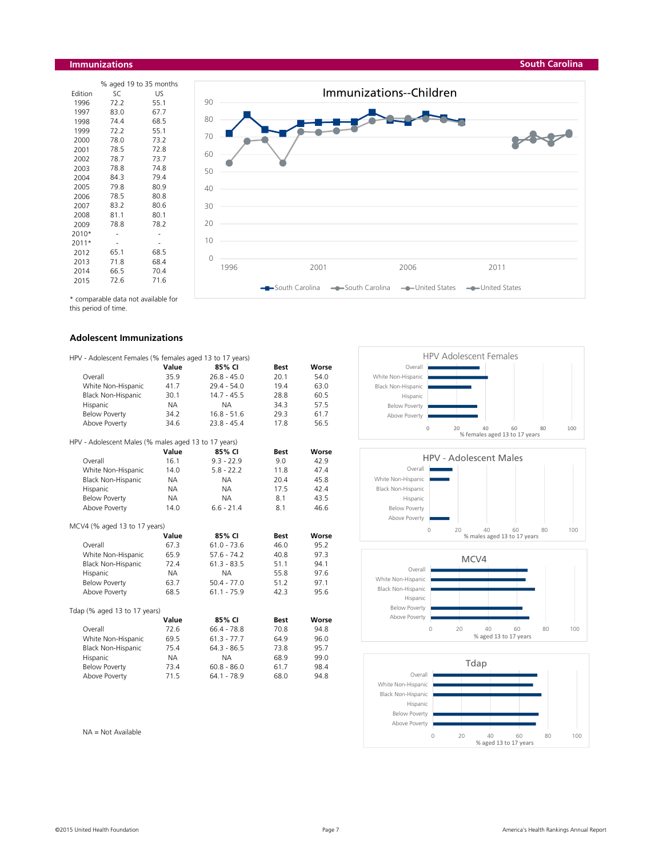#### **Immunizations**

|         |      | % aged 19 to 35 months |
|---------|------|------------------------|
| Edition | SC   | US                     |
| 1996    | 72.2 | 55.1                   |
| 1997    | 83.0 | 67.7                   |
| 1998    | 74.4 | 68.5                   |
| 1999    | 72.2 | 55.1                   |
| 2000    | 78.0 | 73.2                   |
| 2001    | 78.5 | 72.8                   |
| 2002    | 78.7 | 73.7                   |
| 2003    | 78.8 | 74.8                   |
| 2004    | 84.3 | 79.4                   |
| 2005    | 79.8 | 80.9                   |
| 2006    | 78.5 | 80.8                   |
| 2007    | 83.2 | 80.6                   |
| 2008    | 81.1 | 80.1                   |
| 2009    | 78.8 | 78.2                   |
| 2010*   |      |                        |
| 2011*   |      |                        |
| 2012    | 65.1 | 68.5                   |
| 2013    | 71.8 | 68.4                   |
| 2014    | 66.5 | 70.4                   |
| 2015    | 72.6 | 71.6                   |

![](_page_6_Figure_2.jpeg)

\* comparable data not available for

this period of time.

#### **Adolescent Immunizations**

| HPV - Adolescent Females (% females aged 13 to 17 years) |           |               |             |       |
|----------------------------------------------------------|-----------|---------------|-------------|-------|
|                                                          | Value     | 85% CI        | <b>Best</b> | Worse |
| Overall                                                  | 35.9      | $26.8 - 45.0$ | 20.1        | 54.0  |
| White Non-Hispanic                                       | 41.7      | $29.4 - 54.0$ | 19.4        | 63.0  |
| Black Non-Hispanic                                       | 30.1      | $14.7 - 45.5$ | 28.8        | 60.5  |
| Hispanic                                                 | <b>NA</b> | <b>NA</b>     | 34.3        | 57.5  |
| <b>Below Poverty</b>                                     | 34.2      | $16.8 - 51.6$ | 29.3        | 61.7  |
| Above Poverty                                            | 34.6      | $23.8 - 45.4$ | 17.8        | 56.5  |
| HPV - Adolescent Males (% males aged 13 to 17 years)     |           |               |             |       |
|                                                          | Value     | 85% CI        | <b>Best</b> | Worse |
| Overall                                                  | 16.1      | $9.3 - 22.9$  | 9.0         | 42.9  |
| White Non-Hispanic                                       | 14.0      | $5.8 - 22.2$  | 11.8        | 47.4  |
| <b>Black Non-Hispanic</b>                                | NA.       | <b>NA</b>     | 20.4        | 45.8  |
| Hispanic                                                 | <b>NA</b> | <b>NA</b>     | 17.5        | 42.4  |
| <b>Below Poverty</b>                                     | <b>NA</b> | <b>NA</b>     | 8.1         | 43.5  |
| Above Poverty                                            | 14.0      | $6.6 - 21.4$  | 8.1         | 46.6  |
| MCV4 (% aged 13 to 17 years)                             |           |               |             |       |
|                                                          | Value     | 85% CI        | <b>Best</b> | Worse |
| Overall                                                  | 67.3      | $61.0 - 73.6$ | 46.0        | 95.2  |
| White Non-Hispanic                                       | 65.9      | $57.6 - 74.2$ | 40.8        | 97.3  |
| Black Non-Hispanic                                       | 72.4      | $61.3 - 83.5$ | 51.1        | 94.1  |
| Hispanic                                                 | <b>NA</b> | <b>NA</b>     | 55.8        | 97.6  |
| <b>Below Poverty</b>                                     | 63.7      | $50.4 - 77.0$ | 51.2        | 97.1  |
| Above Poverty                                            | 68.5      | $61.1 - 75.9$ | 42.3        | 95.6  |
| Tdap (% aged 13 to 17 years)                             |           |               |             |       |
|                                                          | Value     | 85% CI        | <b>Best</b> | Worse |
| Overall                                                  | 72.6      | $66.4 - 78.8$ | 70.8        | 94.8  |
| White Non-Hispanic                                       | 69.5      | $61.3 - 77.7$ | 64.9        | 96.0  |
| <b>Black Non-Hispanic</b>                                | 75.4      | $64.3 - 86.5$ | 73.8        | 95.7  |
| Hispanic                                                 | <b>NA</b> | <b>NA</b>     | 68.9        | 99.0  |
| <b>Below Poverty</b>                                     | 73.4      | $60.8 - 86.0$ | 61.7        | 98.4  |
| Above Poverty                                            | 71.5      | $64.1 - 78.9$ | 68.0        | 94.8  |

![](_page_6_Figure_7.jpeg)

![](_page_6_Figure_8.jpeg)

![](_page_6_Figure_9.jpeg)

![](_page_6_Figure_10.jpeg)

NA = Not Available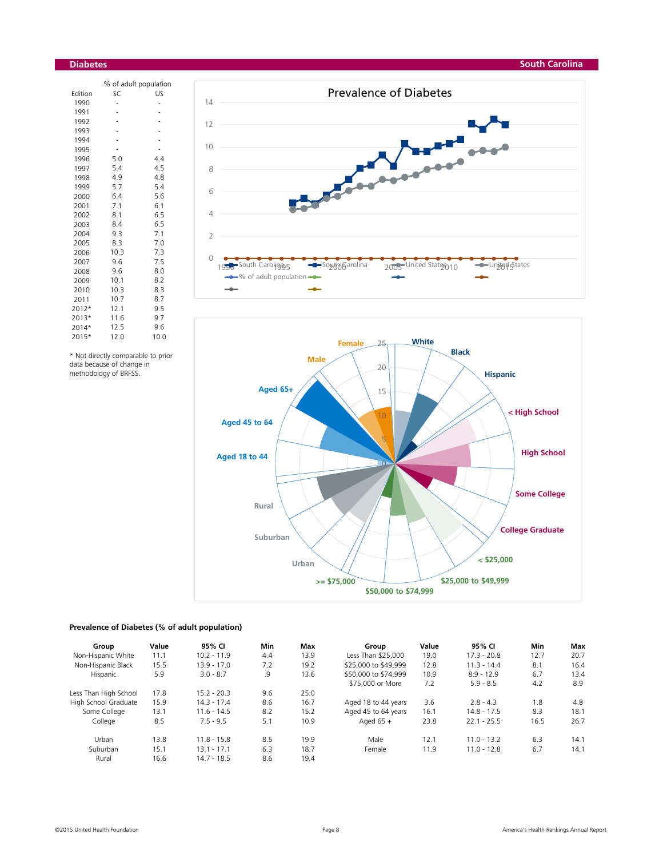#### **Diabetes**

|         | % of adult population |      |  |  |  |  |
|---------|-----------------------|------|--|--|--|--|
| Edition | SC                    | US   |  |  |  |  |
| 1990    | $\overline{a}$        | -    |  |  |  |  |
| 1991    |                       |      |  |  |  |  |
| 1992    |                       |      |  |  |  |  |
| 1993    |                       |      |  |  |  |  |
| 1994    |                       |      |  |  |  |  |
| 1995    |                       |      |  |  |  |  |
| 1996    | 5.0                   | 4.4  |  |  |  |  |
| 1997    | 5.4                   | 4.5  |  |  |  |  |
| 1998    | 4.9                   | 4.8  |  |  |  |  |
| 1999    | 5.7                   | 5.4  |  |  |  |  |
| 2000    | 6.4                   | 5.6  |  |  |  |  |
| 2001    | 7.1                   | 6.1  |  |  |  |  |
| 2002    | 8.1                   | 6.5  |  |  |  |  |
| 2003    | 8.4                   | 6.5  |  |  |  |  |
| 2004    | 9.3                   | 7.1  |  |  |  |  |
| 2005    | 8.3                   | 7.0  |  |  |  |  |
| 2006    | 10.3                  | 7.3  |  |  |  |  |
| 2007    | 9.6                   | 7.5  |  |  |  |  |
| 2008    | 9.6                   | 8.0  |  |  |  |  |
| 2009    | 10.1                  | 8.2  |  |  |  |  |
| 2010    | 10.3                  | 8.3  |  |  |  |  |
| 2011    | 10.7                  | 8.7  |  |  |  |  |
| 2012*   | 12.1                  | 9.5  |  |  |  |  |
| 2013*   | 11.6                  | 9.7  |  |  |  |  |
| 2014*   | 12.5                  | 9.6  |  |  |  |  |
| 2015*   | 12.0                  | 10.0 |  |  |  |  |
|         |                       |      |  |  |  |  |

\* Not directly comparable to prior data because of change in methodology of BRFSS.

![](_page_7_Figure_3.jpeg)

![](_page_7_Figure_4.jpeg)

![](_page_7_Figure_5.jpeg)

# **Prevalence of Diabetes (% of adult population)**

| Group                 | Value | 95% CI        | Min | Max  | Group                | Value | 95% CI        | Min  | Max  |
|-----------------------|-------|---------------|-----|------|----------------------|-------|---------------|------|------|
| Non-Hispanic White    | 11.1  | $10.2 - 11.9$ | 4.4 | 13.9 | Less Than \$25,000   | 19.0  | $17.3 - 20.8$ | 12.7 | 20.7 |
| Non-Hispanic Black    | 15.5  | $13.9 - 17.0$ | 7.2 | 19.2 | \$25,000 to \$49,999 | 12.8  | $11.3 - 14.4$ | 8.1  | 16.4 |
| Hispanic              | 5.9   | $3.0 - 8.7$   | .9  | 13.6 | \$50,000 to \$74,999 | 10.9  | $8.9 - 12.9$  | 6.7  | 13.4 |
|                       |       |               |     |      | \$75,000 or More     | 7.2   | $5.9 - 8.5$   | 4.2  | 8.9  |
| Less Than High School | 17.8  | $15.2 - 20.3$ | 9.6 | 25.0 |                      |       |               |      |      |
| High School Graduate  | 15.9  | $14.3 - 17.4$ | 8.6 | 16.7 | Aged 18 to 44 years  | 3.6   | $2.8 - 4.3$   | 1.8  | 4.8  |
| Some College          | 13.1  | $11.6 - 14.5$ | 8.2 | 15.2 | Aged 45 to 64 years  | 16.1  | $14.8 - 17.5$ | 8.3  | 18.1 |
| College               | 8.5   | $7.5 - 9.5$   | 5.1 | 10.9 | Aged $65 +$          | 23.8  | $22.1 - 25.5$ | 16.5 | 26.7 |
| Urban                 | 13.8  | $11.8 - 15.8$ | 8.5 | 19.9 | Male                 | 12.1  | $11.0 - 13.2$ | 6.3  | 14.1 |
| Suburban              | 15.1  | $13.1 - 17.1$ | 6.3 | 18.7 | Female               | 11.9  | $11.0 - 12.8$ | 6.7  | 14.1 |
| Rural                 | 16.6  | $14.7 - 18.5$ | 8.6 | 19.4 |                      |       |               |      |      |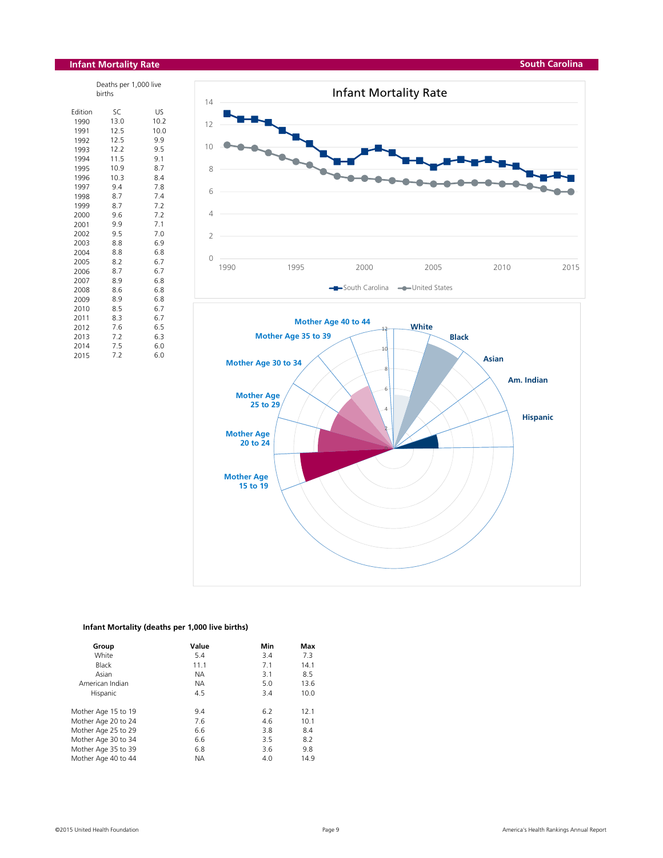# **Infant Mortality Rate**

| Deaths per 1,000 live<br>births |      |      |  |  |  |
|---------------------------------|------|------|--|--|--|
| Edition                         | SC   | US   |  |  |  |
| 1990                            | 13.0 | 10.2 |  |  |  |
| 1991                            | 12.5 | 10.0 |  |  |  |
| 1992                            | 12.5 | 9.9  |  |  |  |
| 1993                            | 12.2 | 9.5  |  |  |  |
| 1994                            | 11.5 | 9.1  |  |  |  |
| 1995                            | 10.9 | 8.7  |  |  |  |
| 1996                            | 10.3 | 8.4  |  |  |  |
| 1997                            | 9.4  | 7.8  |  |  |  |
| 1998                            | 8.7  | 7.4  |  |  |  |
| 1999                            | 8.7  | 7.2  |  |  |  |
| 2000                            | 9.6  | 7.2  |  |  |  |
| 2001                            | 9.9  | 7.1  |  |  |  |
| 2002                            | 9.5  | 7.0  |  |  |  |
| 2003                            | 8.8  | 6.9  |  |  |  |
| 2004                            | 8.8  | 6.8  |  |  |  |
| 2005                            | 8.2  | 6.7  |  |  |  |
| 2006                            | 8.7  | 6.7  |  |  |  |
| 2007                            | 8.9  | 6.8  |  |  |  |
| 2008                            | 8.6  | 6.8  |  |  |  |
| 2009                            | 8.9  | 6.8  |  |  |  |
| 2010                            | 8.5  | 6.7  |  |  |  |
| 2011                            | 8.3  | 6.7  |  |  |  |
| 2012                            | 7.6  | 6.5  |  |  |  |
| 2013                            | 7.2  | 6.3  |  |  |  |
| 2014                            | 7.5  | 6.0  |  |  |  |
| 2015                            | 7.2  | 6.0  |  |  |  |

![](_page_8_Figure_3.jpeg)

# **Infant Mortality (deaths per 1,000 live births)**

| Group               | Value     | Min | Max  |
|---------------------|-----------|-----|------|
| White               | 5.4       | 3.4 | 7.3  |
| <b>Black</b>        | 11.1      | 7.1 | 14.1 |
| Asian               | <b>NA</b> | 3.1 | 8.5  |
| American Indian     | <b>NA</b> | 5.0 | 13.6 |
| Hispanic            | 4.5       | 3.4 | 10.0 |
| Mother Age 15 to 19 | 9.4       | 6.2 | 12.1 |
| Mother Age 20 to 24 | 7.6       | 4.6 | 10.1 |
| Mother Age 25 to 29 | 6.6       | 3.8 | 8.4  |
| Mother Age 30 to 34 | 6.6       | 3.5 | 8.2  |
| Mother Age 35 to 39 | 6.8       | 3.6 | 9.8  |
| Mother Age 40 to 44 | <b>ΝΑ</b> | 4.0 | 14.9 |